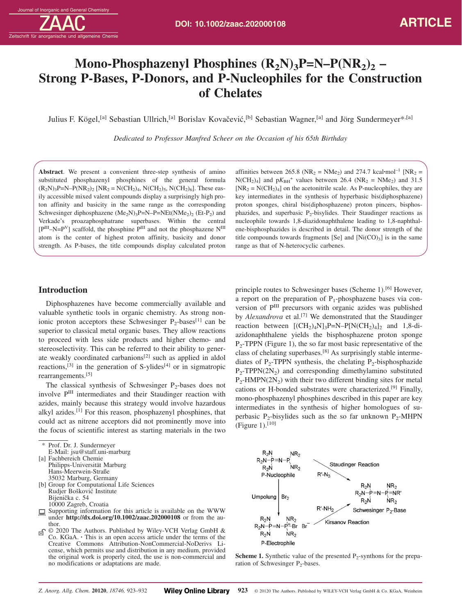# **Mono-Phosphazenyl Phosphines**  $(R_2N)$ **<sub>3</sub>P=N–P(NR<sub>2</sub>)<sub>2</sub> – Strong P-Bases, P-Donors, and P-Nucleophiles for the Construction of Chelates**

Julius F. Kögel,<sup>[a]</sup> Sebastian Ullrich,<sup>[a]</sup> Borislav Kovačević,<sup>[b]</sup> Sebastian Wagner,<sup>[a]</sup> and Jörg Sundermeyer\*,<sup>[a]</sup>

*Dedicated to Professor Manfred Scheer on the Occasion of his 65th Birthday*

**Abstract**. We present a convenient three-step synthesis of amino substituted phosphazenyl phosphines of the general formula  $(R_2N_3P=N-P(NR_2)$  [NR<sub>2</sub> = N(CH<sub>2</sub>)<sub>4</sub>, N(CH<sub>2</sub>)<sub>5</sub>, N(CH<sub>2</sub>)<sub>6</sub>]. These easily accessible mixed valent compounds display a surprisingly high proton affinity and basicity in the same range as the corresponding Schwesinger diphosphazene  $(Me_2N)$ <sub>3</sub>P=N–P=NEt(NMe<sub>2</sub>)<sub>2</sub> (Et-P<sub>2</sub>) and Verkade's proazaphosphatrane superbases. Within the central  $[P<sup>III</sup>-N=P<sup>V</sup>]$  scaffold, the phosphine  $P<sup>III</sup>$  and not the phosphazene  $N<sup>III</sup>$ atom is the center of highest proton affinity, basicity and donor strength. As P-bases, the title compounds display calculated proton affinities between 265.8 ( $NR_2 = NMe_2$ ) and 274.7 kcal·mol<sup>-1</sup> [ $NR_2 =$  $N(CH_2)_4$ ] and  $pK_{BH}$ <sup>+</sup> values between 26.4 (NR<sub>2</sub> = NMe<sub>2</sub>) and 31.5  $[NR_2 = N(CH_2)_4]$  on the acetonitrile scale. As P-nucleophiles, they are key intermediates in the synthesis of hyperbasic bis(diphosphazene) proton sponges, chiral bis(diphosphazene) proton pincers, bisphosphazides, and superbasic  $P_2$ -bisylides. Their Staudinger reactions as nucleophile towards 1,8-diazidonaphthalene leading to 1,8-naphthalene-bisphosphazides is described in detail. The donor strength of the title compounds towards fragments [Se] and  $[Ni(CO)_3]$  is in the same range as that of N-heterocyclic carbenes.

# **Introduction**

Diphosphazenes have become commercially available and valuable synthetic tools in organic chemistry. As strong nonionic proton acceptors these Schwesinger  $P_2$ -bases<sup>[1]</sup> can be superior to classical metal organic bases. They allow reactions to proceed with less side products and higher chemo- and stereoselectivity. This can be referred to their ability to generate weakly coordinated carbanions<sup>[2]</sup> such as applied in aldol reactions,<sup>[3]</sup> in the generation of S-ylides<sup>[4]</sup> or in sigmatropic rearrangements.[5]

The classical synthesis of Schwesinger  $P_2$ -bases does not involve PIII intermediates and their Staudinger reaction with azides, mainly because this strategy would involve hazardous alkyl azides.[1] For this reason, phosphazenyl phosphines, that could act as nitrene acceptors did not prominently move into the focus of scientific interest as starting materials in the two

- [a] Fachbereich Chemie
- Philipps-Universität Marburg Hans-Meerwein-Straße
- 35032 Marburg, Germany [b] Group for Computational Life Sciences Rudjer Bošković Institute Bijenička c. 54 10000 Zagreb, Croatia
- Supporting information for this article is available on the WWW under **http://dx.doi.org/10.1002/zaac.202000108** or from the author.
- © 2020 The Authors. Published by Wiley-VCH Verlag GmbH & ெ Co. KGaA. **·** This is an open access article under the terms of the Creative Commons Attribution-NonCommercial-NoDerivs License, which permits use and distribution in any medium, provided the original work is properly cited, the use is non-commercial and no modifications or adaptations are made.

principle routes to Schwesinger bases (Scheme 1).<sup>[6]</sup> However, a report on the preparation of  $P_1$ -phosphazene bases via conversion of PIII precursors with organic azides was published by *Alexandrova* et al.<sup>[7]</sup> We demonstrated that the Staudinger reaction between  $[(CH<sub>2</sub>)<sub>4</sub>N]<sub>3</sub>P=N-P[N(CH<sub>2</sub>)<sub>4</sub>]$ <sub>2</sub> and 1,8-diazidonaphthalene yields the bisphosphazene proton sponge  $P_2$ -TPPN (Figure 1), the so far most basic representative of the class of chelating superbases.[8] As surprisingly stable intermediates of  $P_2$ -TPPN synthesis, the chelating  $P_2$ -bisphosphazide  $P_2$ -TPPN(2N<sub>2</sub>) and corresponding dimethylamino substituted  $P_2$ -HMPN(2N<sub>2</sub>) with their two different binding sites for metal cations or H-bonded substrates were characterized.[9] Finally, mono-phosphazenyl phosphines described in this paper are key intermediates in the synthesis of higher homologues of superbasic P<sub>2</sub>-bisylides such as the so far unknown P<sub>2</sub>-MHPN (Figure 1). $[10]$ 



**Scheme 1.** Synthetic value of the presented  $P_2$ -synthons for the preparation of Schwesinger  $P_2$ -bases.

Prof. Dr. J. Sundermeyer E-Mail: jsu@staff.uni-marburg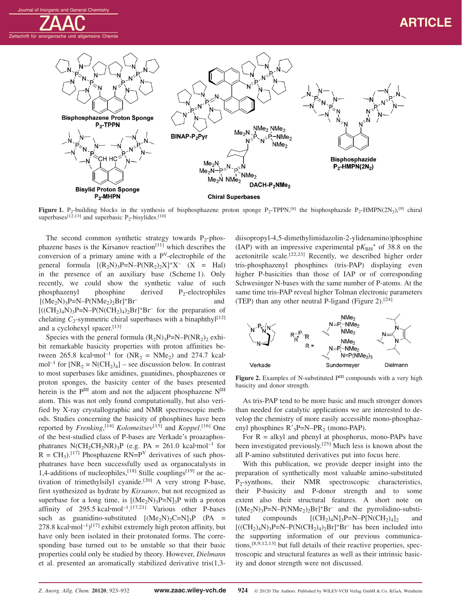

**Figure 1.** P<sub>2</sub>-building blocks in the synthesis of bisphosphazene proton sponge P<sub>2</sub>-TPPN,<sup>[8]</sup> the bisphosphazide P<sub>2</sub>-HMPN(2N<sub>2</sub>),<sup>[9]</sup> chiral superbases<sup>[12,13]</sup> and superbasic  $P_2$ -bisylides.<sup>[10]</sup>

The second common synthetic strategy towards  $P_2$ -phosphazene bases is the Kirsanov reaction<sup>[11]</sup> which describes the conversion of a primary amine with a  $P<sup>V</sup>$ -electrophile of the general formula  $[(R_2N)_3P=N-P(NR_2)_2X]^+X^ (X = \text{Hal})$ in the presence of an auxiliary base (Scheme 1). Only recently, we could show the synthetic value of such phosphazenyl phosphine derived  $P_2$ -electrophiles  $[(Me<sub>2</sub>N)<sub>3</sub>P=N-P(NMe<sub>2</sub>)<sub>2</sub>Br]<sup>+</sup>Br<sup>-</sup>$  and  $[(\text{CH}_2)_4\text{N})_3\text{P=N}-\text{P(N(CH}_2)_4)_2\text{Br}]^+\text{Br}^-$  for the preparation of chelating  $C_2$ -symmetric chiral superbases with a binaphthyl<sup>[12]</sup> and a cyclohexyl spacer.[13]

Species with the general formula  $(R_2N)_3P=N-P(NR_2)_2$  exhibit remarkable basicity properties with proton affinities between  $265.8 \text{ kcal·mol}^{-1}$  for  $(NR_2 = NMe_2)$  and  $274.7 \text{ kcal·}$ mol<sup>-1</sup> for  $[NR_2 = N(CH_2)_4]$  – see discussion below. In contrast to most superbases like amidines, guanidines, phosphazenes or proton sponges, the basicity center of the bases presented herein is the P<sup>III</sup> atom and not the adjacent phosphazene N<sup>III</sup> atom. This was not only found computationally, but also verified by X-ray crystallographic and NMR spectroscopic methods. Studies concerning the basicity of phosphines have been reported by *Frenking*, [14] *Kolomeitsev*[15] and *Koppel*. [16] One of the best-studied class of P-bases are Verkade's proazaphosphatranes  $N(CH_2CH_2NR)_3P$  (e.g. PA = 261.0 kcal·mol<sup>-1</sup> for  $R = CH<sub>3</sub>$ .<sup>[17]</sup> Phosphazene RN=P<sup>V</sup> derivatives of such phosphatranes have been successfully used as organocatalysts in 1,4-additions of nucleophiles,<sup>[18]</sup> Stille couplings<sup>[19]</sup> or the activation of trimethylsilyl cyanide.[20] A very strong P-base, first synthesized as hydrate by *Kirsanov*, but not recognized as superbase for a long time, is  $[(Me<sub>2</sub>N)<sub>3</sub>P=N]<sub>3</sub>P$  with a proton affinity of 295.5 kcal**·**mol–1. [17,21] Various other P-bases such as guanidino-substituted  $[(Me<sub>2</sub>N)<sub>2</sub>C=N]<sub>3</sub>P$  (PA = 278.8 kcal**·**mol–1) [17] exhibit extremely high proton affinity, but have only been isolated in their protonated forms. The corresponding base turned out to be unstable so that their basic properties could only be studied by theory. However, *Dielmann* et al. presented an aromatically stabilized derivative tris(1,3diisopropyl-4,5-dimethylimidazolin-2-ylidenamino)phosphine (IAP) with an impressive experimental  $pK_{BH}$ <sup>+</sup> of 38.8 on the acetonitrile scale.<sup>[22,23]</sup> Recently, we described higher order tris-phosphazenyl phosphines (tris-PAP) displaying even higher P-basicities than those of IAP or of corresponding Schwesinger N-bases with the same number of P-atoms. At the same time tris-PAP reveal higher Tolman electronic parameters (TEP) than any other neutral P-ligand (Figure 2).<sup>[24]</sup>



Figure 2. Examples of N-substituted P<sup>III</sup> compounds with a very high basicity and donor strength.

As tris-PAP tend to be more basic and much stronger donors than needed for catalytic applications we are interested to develop the chemistry of more easily accessible mono-phosphazenyl phosphines  $R'_{3}P=N-PR_{2}$  (mono-PAP).

For  $R = alkyl$  and phenyl at phosphorus, mono-PAPs have been investigated previously.[25] Much less is known about the all P-amino substituted derivatives put into focus here.

With this publication, we provide deeper insight into the preparation of synthetically most valuable amino-substituted P<sub>2</sub>-synthons, their NMR spectroscopic characteristics, their P-basicity and P-donor strength and to some extent also their structural features. A short note on  $[(Me_2N)_3P=N-P(NMe_2)_2Br]^+Br^-$  and the pyrrolidino-substituted compounds  $[(CH_2)_4N]_3P=N-P[N(CH_2)_4]_2$  and tuted compounds  $[(CH_2)_4N]_3P=N-P[N(CH_2)_4]_2$  $[(\text{CH}_2)_4\text{N})_3P=N-P(\text{N}(\text{CH}_2)_4)_2\text{Br}^+Br^-$  has been included into the supporting information of our previous communications, $[8,9,12,13]$  but full details of their reactive properties, spectroscopic and structural features as well as their intrinsic basicity and donor strength were not discussed.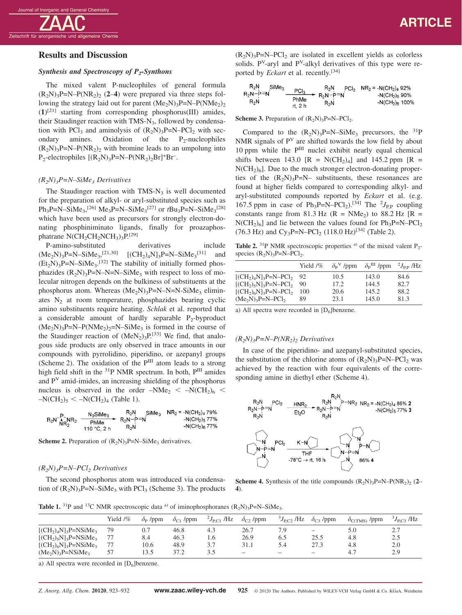## **Results and Discussion**

## *Synthesis and Spectroscopy of P2-Synthons*

The mixed valent P-nucleophiles of general formula  $(R_2N)_3P=N-P(NR_2)$  (2–4) were prepared via three steps following the strategy laid out for parent  $(Me_2N)_3P=N-P(NMe_2)_2$ (**1**) [21] starting from corresponding phosphorus(III) amides, their Staudinger reaction with TMS- $N_3$ , followed by condensation with PCl<sub>3</sub> and aminolysis of  $(R_2N)_3P=N-PCl_2$  with sec-<br>ondary amines. Oxidation of the P<sub>2</sub>-nucleophiles Oxidation of the  $P_2$ -nucleophiles  $(R_2N)_3P=N-P(NR_2)$ , with bromine leads to an umpolung into  $P_2$ -electrophiles  $[(R_2N)_3P=N-P(NR_2)_2Br]^+Br^-$ .

#### *(R2N)3P=N–SiMe3 Derivatives*

The Staudinger reaction with  $TMS-N_3$  is well documented for the preparation of alkyl- or aryl-substituted species such as  $Ph_3P=N-SiMe_3^{[26]}Me_3P=N-SiMe_3^{[27]}$  or  $tBu_3P=N-SiMe_3^{[28]}$ which have been used as precursors for strongly electron-donating phosphiniminato ligands, finally for proazaphosphatrane  $N(CH_2CH_2NCH_3)_3P^{[29]}$ 

P-amino-substituted derivatives include  $(Me_2N)_3P=N-SiMe_3$ ,<sup>[21,30]</sup>  $[(CH_2)_4N]_3P=N-SiMe_3$ <sup>[31]</sup> and  $(Et<sub>2</sub>N)<sub>3</sub>P=N-SiMe<sub>3</sub>.<sup>[32]</sup>$  The stability of initially formed phosphazides  $(R_2N_3P=N-N=N-SiMe_3$  with respect to loss of molecular nitrogen depends on the bulkiness of substituents at the phosphorus atom. Whereas  $(Me_2N)_3P=N-N=N-SiMe_3$  eliminates  $N_2$  at room temperature, phosphazides bearing cyclic amino substituents require heating. *Schlak* et al. reported that a considerable amount of hardly separable  $P_2$ -byproduct  $(Me_2N)$ <sub>3</sub>P=N–P(NMe<sub>2</sub>)<sub>2</sub>=N–SiMe<sub>3</sub> is formed in the course of the Staudinger reaction of  $(MeN<sub>2</sub>)<sub>3</sub>P<sub>[33]</sub>$  We find, that analogous side products are only observed in trace amounts in our compounds with pyrrolidino, piperidino, or azepanyl groups (Scheme 2). The oxidation of the PIII atom leads to a strong high field shift in the <sup>31</sup>P NMR spectrum. In both, P<sup>III</sup> amides and P<sup>V</sup> amid-imides, an increasing shielding of the phosphorus nucleus is observed in the order  $-NMe<sub>2</sub> < -N(CH<sub>2</sub>)<sub>6</sub> <$  $-N(CH_2)_5 < -N(CH_2)_4$  (Table 1).

$$
R_2N \cdot \begin{array}{cccc} P\\ R_2N \cdot R_2 & \longrightarrow & P_2N\\ NR_2 & \longrightarrow & P_1Me & \longrightarrow & R_2N \rightarrow=N\\ & 110 \cdot C & 2 h & R_2N \end{array} \xrightarrow{\text{N}} \begin{array}{cccc} \text{SiMe}_3 & \text{NR}_2 = -N(CH_2)_4 \cdot 79\%\\ \text{SiMe}_3 & \text{NR}_2 = -N(CH_2)_5 \cdot 77\%\\ & -N(CH_2)_5 \cdot 77\% \end{array}
$$

**Scheme 2.** Preparation of  $(R_2N)_3P=N-SiMe_3$  derivatives.

## *(R2N)3P=N–PCl2 Derivatives*

The second phosphorus atom was introduced via condensation of  $(R_2N)_3P=N-SiMe_3$  with PCl<sub>3</sub> (Scheme 3). The products  $(R_2N)_3P=N-PCl_2$  are isolated in excellent yields as colorless solids.  $P<sup>V</sup>$ -aryl and  $P<sup>V</sup>$ -alkyl derivatives of this type were reported by *Eckart* et al. recently.[34]

| $R_2N$ SiMe <sub>3</sub> | PCI <sub>3</sub> |                                            | $R_2N$ PCI <sub>2</sub> NR <sub>2</sub> = -N(CH <sub>2</sub> ) <sub>4</sub> 92% |
|--------------------------|------------------|--------------------------------------------|---------------------------------------------------------------------------------|
| $R_2N-P=N$               | PhMe             | $\blacktriangleright$ R <sub>2</sub> N-P=N | $-N(CH2)5$ 90%                                                                  |
| $R_2N$                   | rt 2 h           | $R_2N$                                     | $-N(CH_2)_6$ 100%                                                               |

**Scheme 3.** Preparation of  $(R_2N)_3P=N-PCl_2$ .

Compared to the  $(R_2N)_3P=N-SiMe_3$  precursors, the <sup>31</sup>P NMR signals of  $P<sup>V</sup>$  are shifted towards the low field by about 10 ppm while the PIII nuclei exhibit nearly equal chemical shifts between 143.0  $[R = N(CH_2)_4]$  and 145.2 ppm  $[R =$  $N(CH<sub>2)</sub>_{6}$ . Due to the much stronger electron-donating properties of the  $(R_2N)_3P=N-$  substituents, these resonances are found at higher fields compared to corresponding alkyl- and aryl-substituted compounds reported by *Eckart* et al. (e.g. 167.5 ppm in case of  $Ph_3P=N-PCl_2$ ).<sup>[34]</sup> The <sup>2</sup> $J_{P,P}$  coupling constants range from 81.3 Hz ( $R = NMe<sub>2</sub>$ ) to 88.2 Hz [ $R =$  $N(CH_2)_6$ ] and lie between the values found for  $Ph_3P=N-PCl_2$  $(76.3 \text{ Hz})$  and Cy<sub>3</sub>P=N-PCl<sub>2</sub>  $(118.0 \text{ Hz})^{[34]}$  (Table 2).

**Table 2.** <sup>31</sup>P NMR spectroscopic properties <sup>a)</sup> of the mixed valent  $P_2$ species  $(R_2N)_3P=N-PCl_2$ .

|                             | Yield $\frac{1}{6}$ | $\delta_{\rm P}$ <sup>V</sup> /ppm | $\delta_{\rm P}^{\rm III}$ /ppm | $^{2}J_{\rm PP}$ /Hz |
|-----------------------------|---------------------|------------------------------------|---------------------------------|----------------------|
| $[(CH_2)_4N]_3P=N-PCl_2$ 92 |                     | 10.5                               | 143.0                           | 84.6                 |
| $[(CH2)5N]3P=N-PCl2$        | 90                  | 17.2.                              | 144.5                           | 82.7                 |
| $[(CH2)6N]3P=N-PCl2$        | 100                 | 20.6                               | 145.2                           | 88.2                 |
| $(Me2N)3P=N-PCl2$           | 89                  | 23.1                               | 145.0                           | 81.3                 |

a) All spectra were recorded in  $[D_6]$ benzene.

# *(R2N)3P=N–P(NR2)2 Derivatives*

In case of the piperidino- and azepanyl-substituted species, the substitution of the chlorine atoms of  $(R_2N)_3P=N-PCl_2$  was achieved by the reaction with four equivalents of the corresponding amine in diethyl ether (Scheme 4).



**Scheme 4.** Synthesis of the title compounds  $(R_2N)_3P=N-P(NR_2)_2$  (2– **4**).

**Table 1.** <sup>31</sup>P and <sup>13</sup>C NMR spectroscopic data <sup>a)</sup> of iminophosphoranes  $(R_2N)_3P=N-SiMe_3$ .

| Yield $/$ % | $\delta_{\rm P}$ /ppm | $\delta_{C1}$ /ppm | $^{2}J_{\rm PC1}$ /Hz | $\delta_{C2}$ /ppm       | $J_{\text{PC2}}$ /Hz     | $\delta_{C3}$ /ppm                                                        | $\partial_{\text{C(TMS)}}$ /ppm | $^{3}J_{\text{PC}3}$ /Hz |
|-------------|-----------------------|--------------------|-----------------------|--------------------------|--------------------------|---------------------------------------------------------------------------|---------------------------------|--------------------------|
| 79          |                       | 46.8               | 4.3                   | 26.7                     | 7.9                      | $\hspace{1.0cm} \rule{1.5cm}{0.15cm} \hspace{1.0cm} \rule{1.5cm}{0.15cm}$ | 5.0                             | 2.7                      |
|             | 8.4                   | 46.3               | 1.6                   | 26.9                     | 6.5                      | 25.5                                                                      | 4.8                             | 2.5                      |
|             | 10.6                  | 48.9               | 3.7                   | 31.1                     | 5.4                      | 27.3                                                                      | 4.8                             | 2.0                      |
| 57          | 13.5                  | 37.2               |                       | $\overline{\phantom{0}}$ | $\overline{\phantom{a}}$ | $\equiv$                                                                  | 4.7                             | 2.9                      |
|             |                       |                    |                       |                          |                          |                                                                           |                                 |                          |

a) All spectra were recorded in  $[D_6]$ benzene.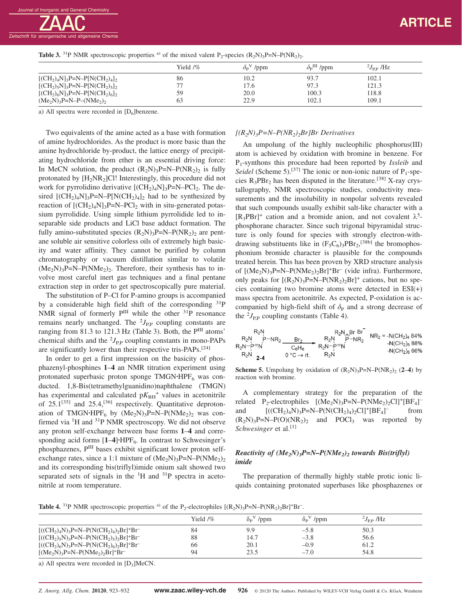

|                                   | Yield 1% | $\delta_{\rm P}{}^{\rm V}$ /ppm | $\delta_{\rm P}^{\rm III}$ /ppm | $^{2}J_{\rm PP}$ /Hz |
|-----------------------------------|----------|---------------------------------|---------------------------------|----------------------|
| $[(CH_2)_4N]_3P=N-P[N(CH_2)_4]_2$ | 86       | 10.2                            | 93.7                            | 102.1                |
| $[(CH2)5N]3P=N-P[N(CH2)5]$        |          | 17.6                            | 97.3                            | 121.3                |
| $[(CH_2)_6N]_3P=N-P[N(CH_2)_6]_2$ | 59       | 20.0                            | 100.3                           | 118.8                |
| $(Me_2N)_3P=N-P-(NMe_2)_2$        | 63       | 22.9                            | 102.1                           | 109.1                |

**Table 3.** <sup>31</sup>P NMR spectroscopic properties <sup>a)</sup> of the mixed valent P<sub>2</sub>-species  $(R_2N)_3P=N-P(NR_2)_2$ .

a) All spectra were recorded in  $[D_6]$ benzene.

Two equivalents of the amine acted as a base with formation of amine hydrochlorides. As the product is more basic than the amine hydrochloride by-product, the lattice energy of precipitating hydrochloride from ether is an essential driving force: In MeCN solution, the product  $(R_2N)_3P=N-P(NR_2)_2$  is fully protonated by  $[H_2NR_2]$ Cl! Interestingly, this procedure did not work for pyrrolidino derivative  $[(CH<sub>2</sub>)<sub>4</sub>N]<sub>3</sub>P=N-PCl<sub>2</sub>$ . The desired  $[(CH<sub>2</sub>)<sub>4</sub>N]<sub>3</sub>P=N-P[N(CH<sub>2</sub>)<sub>4</sub>]<sub>2</sub>$  had to be synthesized by reaction of  $[(CH<sub>2</sub>)<sub>4</sub>N]<sub>3</sub>P=N-PCl<sub>2</sub>$  with in situ-generated potassium pyrrolidide. Using simple lithium pyrrolidide led to inseparable side products and LiCl base adduct formation. The fully amino-substituted species  $(R_2N)_3P=N-P(NR_2)_2$  are pentane soluble air sensitive colorless oils of extremely high basicity and water affinity. They cannot be purified by column chromatography or vacuum distillation similar to volatile  $(Me<sub>2</sub>N)<sub>3</sub>P=N-P(NMe<sub>2</sub>)<sub>2</sub>$ . Therefore, their synthesis has to involve most careful inert gas techniques and a final pentane extraction step in order to get spectroscopically pure material.

The substitution of P–Cl for P-amino groups is accompanied by a considerable high field shift of the corresponding  $3^{1}P$ NMR signal of formerly  $P^{III}$  while the other  $31P$  resonance remains nearly unchanged. The  $^{2}J_{\text{P,P}}$  coupling constants are ranging from 81.3 to 121.3 Hz (Table 3). Both, the P<sup>III</sup> atoms' chemical shifts and the  ${}^{2}J_{\text{P,P}}$  coupling constants in mono-PAPs are significantly lower than their respective tris-PAPs.[24]

In order to get a first impression on the basicity of phosphazenyl-phosphines **1**–**4** an NMR titration experiment using protonated superbasic proton sponge TMGN·HPF<sub>6</sub> was conducted. 1,8-Bis(tetramethylguanidino)naphthalene (TMGN) has experimental and calculated  $pK_{BH}$ <sup>+</sup> values in acetonitrile of  $25.1^{[35]}$  and  $25.4$ ,<sup>[36]</sup> respectively. Quantitative deprotonation of TMGN<sup>·</sup>HPF<sub>6</sub> by  $(Me_2N)_3P=N-P(NMe_2)_2$  was confirmed via <sup>1</sup>H and <sup>31</sup>P NMR spectroscopy. We did not observe any proton self-exchange between base forms **1**–**4** and corresponding acid forms  $[1-4]$ **·**HPF<sub>6</sub>. In contrast to Schwesinger's phosphazenes, PIII bases exhibit significant lower proton selfexchange rates, since a 1:1 mixture of  $(Me_2N)_{3}P=N-P(NMe_2)_{2}$ and its corresponding bis(triflyl)imide onium salt showed two separated sets of signals in the <sup>1</sup>H and <sup>31</sup>P spectra in acetonitrile at room temperature.

### *[(R2N)3P=N–P(NR2)2Br]Br Derivatives*

An umpolung of the highly nucleophilic phosphorus(III) atom is achieved by oxidation with bromine in benzene. For P1-synthons this procedure had been reported by *Issleib* and *Seidel* (Scheme 5).<sup>[37]</sup> The ionic or non-ionic nature of  $P_1$ -species  $R_3$ PBr<sub>2</sub> has been disputed in the literature.<sup>[38]</sup> X-ray crystallography, NMR spectroscopic studies, conductivity measurements and the insolubility in nonpolar solvents revealed that such compounds usually exhibit salt-like character with a  $[R_3PBr]^+$  cation and a bromide anion, and not covalent  $\lambda^5$ phosphorane character. Since such trigonal bipyramidal structure is only found for species with strongly electron-withdrawing substituents like in  $(F_5C_6)_3PBr_2$ ,<sup>[38b]</sup> the bromophosphonium bromide character is plausible for the compounds treated herein. This has been proven by XRD structure analysis of  $[(Me<sub>2</sub>N)<sub>3</sub>P=N-P(NMe<sub>2</sub>)<sub>2</sub>Br]<sup>+</sup>Br<sup>-</sup> (vide infra). Furthermore,$ only peaks for  $[(R_2N)_3P=N-P(NR_2)_2Br]^+$  cations, but no species containing two bromine atoms were detected in ESI(+) mass spectra from acetonitrile. As expected, P-oxidation is accompanied by high-field shift of  $\delta_{\rm P}$  and a strong decrease of the  ${}^{2}J_{\rm P,P}$  coupling constants (Table 4).

$$
R_2N
$$
  
\n $R_2N$   
\n $R_2N$   
\n $R_2N$   
\n $R_2N$   
\n $R_2N$   
\n $R_2N$   
\n $R_2N$   
\n $R_2N$   
\n $R_2N$   
\n $R_2N$   
\n $R_2N$   
\n $R_2N$   
\n $R_2N$   
\n $R_2N$   
\n $R_2N$   
\n $R_2N$   
\n $R_2N$   
\n $R_2N$   
\n $R_2N$   
\n $R_2N$   
\n $R_2N$   
\n $R_2N$   
\n $R_2N$   
\n $R_2N$   
\n $R_2N$   
\n $R_2N$   
\n $R_2N$   
\n $R_2N$   
\n $R_2N$   
\n $R_2N$   
\n $R_2N$   
\n $R_2N$   
\n $R_2N$   
\n $R_2N$   
\n $R_2N$   
\n $R_2N$   
\n $R_2N$   
\n $R_2N$   
\n $R_2N$   
\n $R_2N$   
\n $R_2N$   
\n $R_2N$   
\n $R_2N$ 

**Scheme 5.** Umpolung by oxidation of  $(R_2N)$ <sub>3</sub>P=N–P(NR<sub>2</sub>)<sub>2</sub> (2–4) by reaction with bromine.

A complementary strategy for the preparation of the related  $P_2$ -electrophiles  $[(Me_2N)_3P=N-P(NMe_2)_2Cl]^+[BF_4]^$ and  $[((CH_2)_4N)_3P=N-P(N(CH_2)_4)_2Cl]^+[BF_4]^$ from  $(R_2N)_3P=N-P(O)(NR_2)_2$  and  $POCl_3$  was reported by *Schwesinger* et al.<sup>[1]</sup>

## *Reactivity of (Me2N)3P=N–P(NMe2)2 towards Bis(triflyl) imide*

The preparation of thermally highly stable protic ionic liquids containing protonated superbases like phosphazenes or

**Table 4.** <sup>31</sup>P NMR spectroscopic properties <sup>a)</sup> of the P<sub>2</sub>-electrophiles  $[(R_2N)_3P=N-P(NR_2)_2Br]^+Br^-$ .

|                                                       | Yield $/$ % | $\delta_{\rm P}$ <sup>V</sup> /ppm | $\delta_P V$ /ppm | $^{2}J_{\rm PP}$ /Hz |  |
|-------------------------------------------------------|-------------|------------------------------------|-------------------|----------------------|--|
| $[((CH_2)_4N)_3P=N-P(N(CH_2)_4)_2Br]^+Br^-$           | 84          | 9.9                                | $-5.8$            | 50.3                 |  |
| $[((CH_2)_{5}N)_3P=N-P(N(CH_2)_{5})_{2}Br]^{+}Br^{-}$ | 88          | 14.7                               | $-3.8$            | 56.6                 |  |
| $[((CH_2)_6N)_3P=N-P(N(CH_2)_6)_{2}Br]^+Br^-$         | 66          | 20.1                               | $-0.9$            | 61.2                 |  |
| $[(Me_2N)_3P=N-P(NMe_2)_2Br]^+Br^-$                   | 94          | 23.5                               | $-7.0$            | 54.8                 |  |

a) All spectra were recorded in  $[D_3]$ MeCN.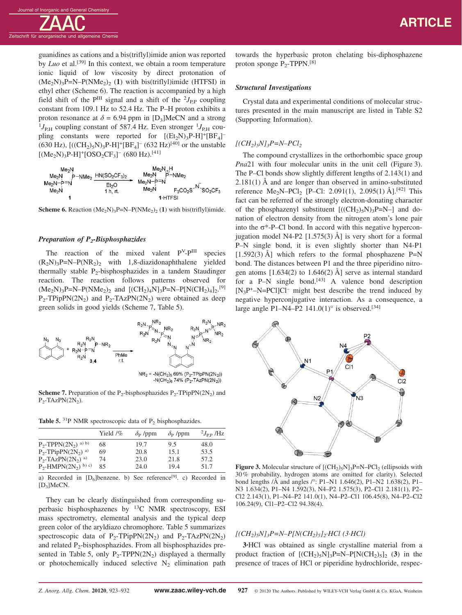guanidines as cations and a bis(triflyl)imide anion was reported by *Luo* et al.<sup>[39]</sup> In this context, we obtain a room temperature ionic liquid of low viscosity by direct protonation of  $(Me<sub>2</sub>N)<sub>3</sub>P=N-P(NMe<sub>2</sub>)<sub>2</sub>$  (1) with bis(triflyl)imide (HTFSI) in ethyl ether (Scheme 6). The reaction is accompanied by a high field shift of the  $P^{III}$  signal and a shift of the  $^{2}J_{P,P}$  coupling constant from 109.1 Hz to 52.4 Hz. The P–H proton exhibits a proton resonance at  $\delta$  = 6.94 ppm in [D<sub>3</sub>]MeCN and a strong  $J_{\rm{P,H}}$  coupling constant of 587.4 Hz. Even stronger  $^{1}J_{\rm{P,H}}$  coupling constants were reported for  $[(Et_2N)_3P-H]^+[BF_4]^ (630 \text{ Hz})$ ,  $[((CH_2)_5N)_3P-H]^+[BF_4]^ (632 \text{ Hz})^{[40]}$  or the unstable  $[(Me<sub>2</sub>N)<sub>3</sub>P-H]<sup>+</sup>[OSO<sub>2</sub>CF<sub>3</sub>]<sup>-</sup>(680 Hz).<sup>[41]</sup>$ 



**Scheme 6.** Reaction  $(Me<sub>2</sub>N)<sub>3</sub>P=N-P(NMe<sub>2</sub>)<sub>2</sub>(1)$  with bis(triflyl)imide.

#### *Preparation of P<sub>2</sub>-Bisphosphazides*

The reaction of the mixed valent  $P<sup>V</sup>-P<sup>III</sup>$  species  $(R_2N)_3P=N-P(NR_2)$  with 1,8-diazidonaphthalene yielded thermally stable  $P_2$ -bisphosphazides in a tandem Staudinger reaction. The reaction follows patterns observed for  $(Me_2N)_3P=N-P(NMe_2)_2$  and  $[(CH_2)_4N]_3P=N-P[N(CH_2)_4]_2$ .<sup>[9]</sup>  $P_2$ -TPipPN(2N<sub>2</sub>) and P<sub>2</sub>-TAzPN(2N<sub>2</sub>) were obtained as deep green solids in good yields (Scheme 7, Table 5).



**Scheme 7.** Preparation of the P<sub>2</sub>-bisphosphazides  $P_2$ -TPipPN(2N<sub>2</sub>) and  $P_2$ -TAzPN $(2N_2)$ .

**Table 5.**  ${}^{31}P$  NMR spectroscopic data of  $P_2$  bisphosphazides.

|                                                | Yield $/$ % | $\delta_{\rm P}$ /ppm | $\delta_{\rm P}$ /ppm | $^{2}J_{\rm PP}$ /Hz |
|------------------------------------------------|-------------|-----------------------|-----------------------|----------------------|
| P <sub>2</sub> -TPPN $(2N_2)$ <sup>a)</sup> b) | 68          | 19.7                  | 9.5                   | 48.0                 |
| $P_2$ -TPipPN(2N <sub>2</sub> ) <sup>a)</sup>  | 69          | 20.8                  | 15.1                  | 53.5                 |
| $P_2$ -TAzPN $(2N_2)$ <sup>a)</sup>            | 74          | 23.0                  | 21.8                  | 57.2                 |
| $P_2$ -HMPN $(2N_2)$ <sup>b) c)</sup>          | 85          | 24.0                  | 19.4                  | 51.7                 |

a) Recorded in  $[D_6]$ benzene. b) See reference<sup>[9]</sup>. c) Recorded in  $[D_3]MeCN$ .

They can be clearly distinguished from corresponding superbasic bisphosphazenes by 13C NMR spectroscopy, ESI mass spectrometry, elemental analysis and the typical deep green color of the aryldiazo chromophore. Table 5 summarizes spectroscopic data of  $P_2$ -TPipPN(2N<sub>2</sub>) and  $P_2$ -TAzPN(2N<sub>2</sub>) and related  $P_2$ -bisphosphazides. From all bisphosphazides presented in Table 5, only  $P_2$ -TPPN(2N<sub>2</sub>) displayed a thermally or photochemically induced selective  $N_2$  elimination path towards the hyperbasic proton chelating bis-diphosphazene proton sponge  $P_2$ -TPPN.<sup>[8]</sup>

#### *Structural Investigations*

Crystal data and experimental conditions of molecular structures presented in the main manuscript are listed in Table S2 (Supporting Information).

#### $[(CH_2)_5N]_3P=N-PCl_2$

The compound crystallizes in the orthorhombic space group *Pna*21 with four molecular units in the unit cell (Figure 3). The P–Cl bonds show slightly different lengths of 2.143(1) and  $2.181(1)$  Å and are longer than observed in amino-substituted reference Me<sub>2</sub>N–PCl<sub>2</sub> [P–Cl: 2.091(1), 2.095(1) Å].<sup>[42]</sup> This fact can be referred of the strongly electron-donating character of the phosphazenyl substituent  $[(CH<sub>2</sub>)<sub>5</sub>N)<sub>3</sub>P=N-]$  and donation of electron density from the nitrogen atom's lone pair into the  $\sigma^*$ -P–Cl bond. In accord with this negative hyperconjugation model N4-P2  $[1.575(3)$  Å] is very short for a formal P–N single bond, it is even slightly shorter than N4-P1  $[1.592(3)$  Å] which refers to the formal phosphazene P=N bond. The distances between P1 and the three piperidino nitrogen atoms  $[1.634(2)$  to  $1.646(2)$  Å] serve as internal standard for a  $P-N$  single bond.<sup>[43]</sup> A valence bond description  $[N_3P^+ - N=PCI]CI^-$  might best describe the trend induced by negative hyperconjugative interaction. As a consequence, a large angle P1-N4-P2  $141.0(1)$ ° is observed.<sup>[34]</sup>



**Figure 3.** Molecular structure of  $[(CH_2)_5N]_3P=N-PCl_2$  (ellipsoids with 30 % probability, hydrogen atoms are omitted for clarity). Selected bond lengths /Å and angles /°: P1–N1 1.646(2), P1–N2 1.638(2), P1– N3 1.634(2), P1–N4 1.592(3), N4–P2 1.575(3), P2–Cl1 2.181(1), P2– Cl2 2.143(1), P1–N4–P2 141.0(1), N4–P2–Cl1 106.45(8), N4–P2–Cl2 106.24(9), Cl1–P2–Cl2 94.38(4).

### $[(CH_2)_5N]_3P=N-P[N(CH_2)_5]_2$ ·*HCl* (3·*HCl*)

**3·**HCl was obtained as single crystalline material from a product fraction of  $[(CH_2)_5N]_3P=N-P[N(CH_2)_5]_2$  (3) in the presence of traces of HCl or piperidine hydrochloride, respec-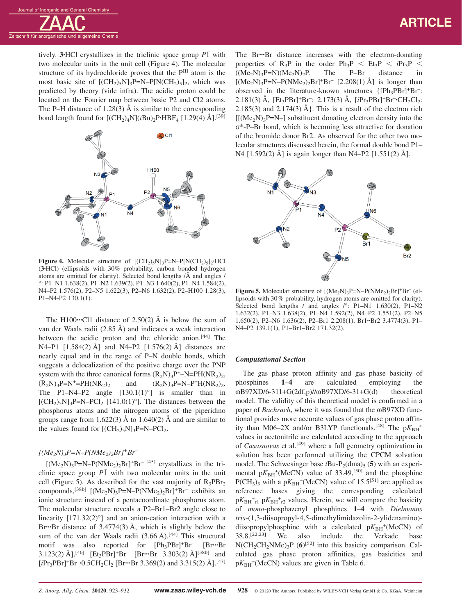# **ARTICLE**

tively. **3**•HCl crystallizes in the triclinic space group  $P\overline{1}$  with two molecular units in the unit cell (Figure 4). The molecular structure of its hydrochloride proves that the P<sup>III</sup> atom is the most basic site of  $[(CH<sub>2</sub>)<sub>5</sub>N]<sub>3</sub>P=N-P[N(CH<sub>2</sub>)<sub>5</sub>]$ <sub>2</sub>, which was predicted by theory (vide infra). The acidic proton could be located on the Fourier map between basic P2 and Cl2 atoms. The P–H distance of 1.28(3)  $\AA$  is similar to the corresponding bond length found for  $[(CH_2)_4N](tBu)_2P$ <sup>**·HBF<sub>4</sub>** [1.29(4) Å].<sup>[39]</sup></sup>



**Figure 4.** Molecular structure of  $[(CH_2)_5N]_3P=N-P[N(CH_2)_5]_2$ **·HCl** (**3·**HCl) (ellipsoids with 30% probability, carbon bonded hydrogen atoms are omitted for clarity). Selected bond lengths /Å and angles / °: P1–N1 1.638(2), P1–N2 1.639(2), P1–N3 1.640(2), P1–N4 1.584(2), N4–P2 1.576(2), P2–N5 1.622(3), P2–N6 1.632(2), P2–H100 1.28(3), P1–N4-P2 130.1(1).

The H100**···**Cl1 distance of 2.50(2) Å is below the sum of van der Waals radii (2.85 Å) and indicates a weak interaction between the acidic proton and the chloride anion.<sup>[44]</sup> The N4–P1  $[1.584(2)$  Å] and N4–P2  $[1.576(2)$  Å] distances are nearly equal and in the range of P–N double bonds, which suggests a delocalization of the positive charge over the PNP system with the three canonical forms  $(R_2N)_3P^+$ –N=PH(NR<sub>2</sub>)<sub>2</sub>,  $(R_2N)_3P=N^+=PH(NR_2)_2$  and  $(R_2N)_3P=N-P^+H(NR_2)_2$ . The P1–N4–P2 angle  $[130.1(1)^\circ]$  is smaller than in  $[(CH_2)_5N]_3P=N-PCl_2$  [141.0(1)°]. The distances between the phosphorus atoms and the nitrogen atoms of the piperidino groups range from 1.622(3) Å to 1.640(2) Å and are similar to the values found for  $[(CH_2)_5N]_3P=N-PCl_2$ .

#### $[(Me<sub>2</sub>N)<sub>3</sub>P=N-P(NMe<sub>2</sub>)<sub>2</sub>Br]<sup>+</sup>Br<sup>-</sup>$

 $[(Me<sub>2</sub>N)<sub>3</sub>P=N-P(NMe<sub>2</sub>)<sub>2</sub>Br]<sup>+</sup>Br<sup>-</sup> [45] crystals in the tri$ clinic space group  $P\bar{1}$  with two molecular units in the unit cell (Figure 5). As described for the vast majority of  $R_3PBr_2$ compounds,<sup>[38b]</sup>  $[(Me<sub>2</sub>N)<sub>3</sub>P=N-P(NMe<sub>2</sub>)<sub>2</sub>Br]<sup>+</sup>Br<sup>-</sup> exhibits an$ ionic structure instead of a pentacoordinate phosphorus atom. The molecular structure reveals a P2–Br1–Br2 angle close to linearity  $[171.32(2)°]$  and an anion-cation interaction with a Br**···**Br distance of 3.4774(3) Å, which is slightly below the sum of the van der Waals radii  $(3.66 \text{ Å})$ .<sup>[44]</sup> This structural motif was also reported for [Ph3PBr]+Br– [Br**···**Br 3.123(2) Å],[46] [Et3PBr]+Br– [Br**···**Br 3.303(2) Å][38b] and [*i*Pr3PBr]+Br– **·**0.5CH2Cl2 [Br**···**Br 3.369(2) and 3.315(2) Å].[47]

The Br**···**Br distance increases with the electron-donating properties of  $R_3P$  in the order  $Ph_3P < Et_3P < iPr_3P < ((Me_2N)_3P=N)(Me_2N)_2P$ . The P-Br distance in  $((Me<sub>2</sub>N)<sub>3</sub>P=N)(Me<sub>2</sub>N)<sub>2</sub>P$ . The P–Br distance in  $[(Me<sub>2</sub>N)<sub>3</sub>P=N-P(NMe<sub>2</sub>)<sub>2</sub>Br]<sup>+</sup>Br<sup>-</sup>[2.208(1) Å]$  is longer than observed in the literature-known structures  $\{[Ph_3PBr]^+Br^-$ 2.181(3) Å, [Et<sub>3</sub>PBr]<sup>+</sup>Br<sup>-</sup>: 2.173(3) Å, [*i*Pr<sub>3</sub>PBr]<sup>+</sup>Br<sup>-</sup>·CH<sub>2</sub>Cl<sub>2</sub>: 2.185(3) and 2.174(3)  $\AA$ . This is a result of the electron rich  $[(Me<sub>2</sub>N)<sub>3</sub>P=N-]$  substituent donating electron density into the σ\*-P–Br bond, which is becoming less attractive for donation of the bromide donor Br2. As observed for the other two molecular structures discussed herein, the formal double bond P1– N4 [1.592(2) Å] is again longer than N4–P2 [1.551(2) Å].



**Figure 5.** Molecular structure of  $[(Me<sub>2</sub>N)<sub>3</sub>P=N-P(NMe<sub>2</sub>)<sub>2</sub>Br]<sup>+</sup>Br<sup>-</sup> (el$ lipsoids with 30 % probability, hydrogen atoms are omitted for clarity). Selected bond lengths / and angles /°: P1-N1 1.630(2), P1-N2 1.632(2), P1–N3 1.638(2), P1–N4 1.592(2), N4–P2 1.551(2), P2–N5 1.650(2), P2–N6 1.636(2), P2–Br1 2.208(1), Br1**··**Br2 3.4774(3), P1– N4–P2 139.1(1), P1–Br1–Br2 171.32(2).

#### *Computational Section*

The gas phase proton affinity and gas phase basicity of phosphines **1**–**4** are calculated employing the  $\omega$ B97XD/6-311+G(2df,p)// $\omega$ B97XD/6-31+G(d) theoretical model. The validity of this theoretical model is confirmed in a paper of *Bachrach*, where it was found that the ωB97XD functional provides more accurate values of gas phase proton affinity than M06–2X and/or B3LYP functionals.<sup>[48]</sup> The  $pK_{BH}^+$ values in acetonitrile are calculated according to the approach of *Casasnovas* et al.[49] where a full geometry optimization in solution has been performed utilizing the CPCM solvation model. The Schwesinger base  $tBu-P_2(dma)_5$  (5) with an experimental  $pK_{BH}$ <sup>+</sup>(MeCN) value of 33.49,<sup>[50]</sup> and the phosphine  $P(CH_3)_3$  with a  $pK_{BH}$ <sup>+</sup>(MeCN) value of 15.5<sup>[51]</sup> are applied as reference bases giving the corresponding calculated  $pK_{BH}$ <sup>+</sup><sub>r1</sub>  $pK_{BH}$ <sup>+</sup><sub>r2</sub> values. Herein, we will compare the basicity of *mono*-phosphazenyl phosphines **1**–**4** with *Dielmanns tris*-(1,3-diisopropyl-4,5-dimethylimidazolin-2-ylidenamino) diisopropylphosphine with a calculated  $pK_{BH}^+$ (MeCN) of 38.8.[22,23] We also include the Verkade base  $N(CH_2CH_2NMe)_3P$  (6)<sup>[52]</sup> into this basicity comparison. Calculated gas phase proton affinities, gas basicities and  $pK_{BH}$ <sup>+</sup>(MeCN) values are given in Table 6.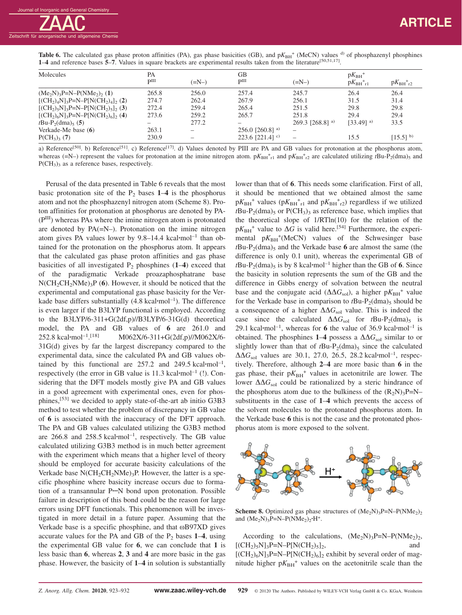|                                                                                                                                   |  |  | <b>Table 6.</b> The calculated gas phase proton affinities (PA), gas phase basicities (GB), and $pK_{BH}^+$ (MeCN) values <sup>d)</sup> of phosphazenyl phosphines |
|-----------------------------------------------------------------------------------------------------------------------------------|--|--|--------------------------------------------------------------------------------------------------------------------------------------------------------------------|
| 1–4 and reference bases 5–7. Values in square brackets are experimental results taken from the literature <sup>[50,51,17]</sup> . |  |  |                                                                                                                                                                    |

| Molecules                                         | PA<br>pIII                            | $(=\mathbb{N}-)$ | GB<br>$\mathbf{p}$ III        | $(=\!N-)$        | $pK_{BH}$ <sup>+</sup><br>$pK_{\rm BH}$ <sup>+</sup> $_{r1}$ | $pK_{BH}$ <sup>+</sup> <sub>r2</sub> |
|---------------------------------------------------|---------------------------------------|------------------|-------------------------------|------------------|--------------------------------------------------------------|--------------------------------------|
| $(Me_2N)_3P=N-P(NMe_2)$ (1)                       | 265.8                                 | 256.0            | 257.4                         | 245.7            | 26.4                                                         | 26.4                                 |
| $[(CH_2)_4N]_3P=N-P[N(CH_2)_4]_2(2)$              | 274.7                                 | 262.4            | 267.9                         | 256.1            | 31.5                                                         | 31.4                                 |
| $[(CH2)5N]3P=N-P[N(CH2)5]2(3)$                    | 272.4                                 | 259.4            | 265.4                         | 251.5            | 29.8                                                         | 29.8                                 |
| $[(CH2)6N]3P=N-P[N(CH2)6]2$ (4)                   | 273.6                                 | 259.2            | 265.7                         | 251.8            | 29.4                                                         | 29.4                                 |
| <i>t</i> Bu-P <sub>2</sub> (dma) <sub>5</sub> (5) | $\hspace{1.0cm} \rule{1.5cm}{0.15cm}$ | 277.2            |                               | 269.3 [268.8] a) | $[33.49]$ <sup>a)</sup>                                      | 33.5                                 |
| Verkade-Me base $(6)$                             | 263.1                                 |                  | 256.0 [260.8] a)              |                  |                                                              |                                      |
| $P(CH_3)$ <sub>3</sub> (7)                        | 230.9                                 |                  | 223.6 $[221.4]$ <sup>c)</sup> |                  | 15.5                                                         | $[15.5]^{b}$                         |

a) Reference<sup>[50]</sup>. b) Reference<sup>[51]</sup>. c) Reference<sup>[17]</sup>. d) Values denoted by PIII are PA and GB values for protonation at the phosphorus atom, whereas (=N–) represent the values for protonation at the imine nitrogen atom.  $pK_{BH}^+{}_{r1}$  and  $pK_{BH}^+{}_{r2}$  are calculated utilizing  $tBu-P_2(dma)_5$  and  $P(CH<sub>3</sub>)<sub>3</sub>$  as a reference bases, respectively.

Perusal of the data presented in Table 6 reveals that the most basic protonation site of the  $P_2$  bases  $1-4$  is the phosphorus atom and not the phosphazenyl nitrogen atom (Scheme 8). Proton affinities for protonation at phosphorus are denoted by PA- (PIII) whereas PAs where the imine nitrogen atom is protonated are denoted by  $PA(=N-)$ . Protonation on the imine nitrogen atom gives PA values lower by 9.8–14.4 kcal**·**mol–1 than obtained for the protonation on the phosphorus atom. It appears that the calculated gas phase proton affinities and gas phase basicities of all investigated  $P_2$  phosphines (1–4) exceed that of the paradigmatic Verkade proazaphosphatrane base  $N(CH_2CH_2NMe)_3P$  (6). However, it should be noticed that the experimental and computational gas phase basicity for the Verkade base differs substantially (4.8 kcal**·**mol–1). The difference is even larger if the B3LYP functional is employed. According to the B3LYP/6-311+G(2df,p)//B3LYP/6-31G(d) theoretical model, the PA and GB values of **6** are 261.0 and 252.8 kcal**·**mol–1. M062X/6-311+G(2df,p)//M062X/6-31G(d) gives by far the largest discrepancy compared to the experimental data, since the calculated PA and GB values obtained by this functional are 257.2 and 249.5 kcal**·**mol–1, respectively (the error in GB value is 11.3 kcal**·**mol–1 (!). Considering that the DFT models mostly give PA and GB values in a good agreement with experimental ones, even for phosphines,[53] we decided to apply state-of-the-art ab initio G3B3 method to test whether the problem of discrepancy in GB value of **6** is associated with the inaccuracy of the DFT approach. The PA and GB values calculated utilizing the G3B3 method are 266.8 and 258.5 kcal**·**mol–1, respectively. The GB value calculated utilizing G3B3 method is in much better agreement with the experiment which means that a higher level of theory should be employed for accurate basicity calculations of the Verkade base  $N(CH_2CH_2NMe)_3P$ . However, the latter is a specific phosphine where basicity increase occurs due to formation of a transannular P**···**N bond upon protonation. Possible failure in description of this bond could be the reason for large errors using DFT functionals. This phenomenon will be investigated in more detail in a future paper. Assuming that the Verkade base is a specific phosphine, and that ωB97XD gives accurate values for the PA and GB of the  $P_2$  bases  $1-4$ , using the experimental GB value for **6**, we can conclude that **1** is less basic than **6**, whereas **2**, **3** and **4** are more basic in the gas phase. However, the basicity of **1**–**4** in solution is substantially

lower than that of **6**. This needs some clarification. First of all, it should be mentioned that we obtained almost the same  $pK_{BH}$ <sup>+</sup> values ( $pK_{BH}$ <sup>+</sup><sub>r1</sub> and  $pK_{BH}$ <sup>+</sup><sub>r2</sub>) regardless if we utilized  $tBu-P<sub>2</sub>(dma)$ <sub>5</sub> or  $P(CH<sub>3</sub>)<sub>3</sub>$  as reference base, which implies that the theoretical slope of 1/RTln(10) for the relation of the  $pK_{BH}$ <sup>+</sup> value to  $\Delta G$  is valid here.<sup>[54]</sup> Furthermore, the experimental  $pK_{BH}$ <sup>+</sup>(MeCN) values of the Schwesinger base  $t$ Bu-P<sub>2</sub>(dma)<sub>5</sub> and the Verkade base 6 are almost the same (the difference is only 0.1 unit), whereas the experimental GB of  $tBu-P_2(dma)$ <sub>5</sub> is by 8 kcal·mol<sup>-1</sup> higher than the GB of 6. Since the basicity in solution represents the sum of the GB and the difference in Gibbs energy of solvation between the neutral base and the conjugate acid ( $\Delta\Delta G_{\text{sol}}$ ), a higher p $K_{\text{BH}}$ <sup>+</sup> value for the Verkade base in comparison to  $tBu-P_2(dma)_5$  should be a consequence of a higher  $\Delta\Delta G_{\rm sol}$  value. This is indeed the case since the calculated  $\Delta\Delta G_{sol}$  for  $tBu-P_2(dma)_5$  is 29.1 kcal**·**mol–1, whereas for **6** the value of 36.9 kcal**·**mol–1 is obtained. The phosphines 1–4 possess a  $\Delta\Delta G_{\text{sol}}$  similar to or slightly lower than that of  $tBu-P_2(dma)$ <sub>5</sub> since the calculated ΔΔ*G*sol values are 30.1, 27.0, 26.5, 28.2 kcal**·**mol–1, respectively. Therefore, although **2**–**4** are more basic than **6** in the gas phase, their  $pK_{BH}$ <sup>+</sup> values in acetonitrile are lower. The lower  $\Delta\Delta G_{\text{sol}}$  could be rationalized by a steric hindrance of the phosphorus atom due to the bulkiness of the  $(R_2N)_3P=N$ substituents in the case of **1**–**4** which prevents the access of the solvent molecules to the protonated phosphorus atom. In the Verkade base **6** this is not the case and the protonated phosphorus atom is more exposed to the solvent.



**Scheme 8.** Optimized gas phase structures of  $(Me_2N)$ <sub>3</sub>P=N–P(NMe<sub>2</sub>)<sub>2</sub> and  $(Me<sub>2</sub>N)<sub>3</sub>P=N-P(NMe<sub>2</sub>)<sub>2</sub>·H<sup>+</sup>.$ 

According to the calculations,  $(Me<sub>2</sub>N)<sub>3</sub>P=N-P(NMe<sub>2</sub>)<sub>2</sub>$ ,  $[(CH<sub>2</sub>)<sub>5</sub>N]<sub>3</sub>P=N-P[N(CH<sub>2</sub>)<sub>5</sub>]$ <sub>2</sub>, and  $[(CH<sub>2</sub>)<sub>6</sub>N]<sub>3</sub>P=N-P[N(CH<sub>2</sub>)<sub>6</sub>]<sub>2</sub>$  exhibit by several order of magnitude higher  $pK_{BH}$ <sup>+</sup> values on the acetonitrile scale than the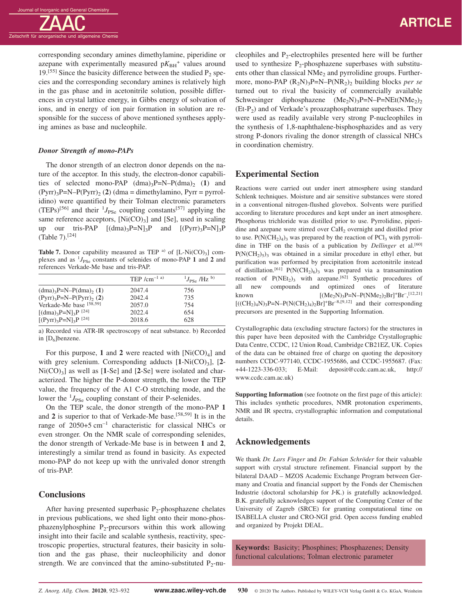corresponding secondary amines dimethylamine, piperidine or azepane with experimentally measured  $pK_{BH}$ <sup>+</sup> values around 19.<sup>[55]</sup> Since the basicity difference between the studied  $P_2$  species and the corresponding secondary amines is relatively high in the gas phase and in acetonitrile solution, possible differences in crystal lattice energy, in Gibbs energy of solvation of ions, and in energy of ion pair formation in solution are responsible for the success of above mentioned syntheses applying amines as base and nucleophile.

#### *Donor Strength of mono-PAPs*

The donor strength of an electron donor depends on the nature of the acceptor. In this study, the electron-donor capabilities of selected mono-PAP  $(dma)_{3}P=N-P(dma)_{2}$  (1) and  $(Pyrr)_{3}P=N-P(Pyrr)_{2}$  (2) (dma = dimethylamino, Pyrr = pyrrolidino) were quantified by their Tolman electronic parameters  $(TEPs)^{[56]}$  and their  ${}^{1}J_{\text{PSe}}$  coupling constants<sup>[57]</sup> applying the same reference acceptors,  $[Ni(CO)_3]$  and  $[Se]$ , used in scaling up our tris-PAP  $[(dma)_3P=N]_3P$  and  $[(Pyrr)_3P=N]_3P$ (Table 7).[24]

**Table 7.** Donor capability measured as TEP <sup>a)</sup> of  $[L-Ni(CO)<sub>3</sub>]$  complexes and as  $^{1}J_{\text{PSe}}$  constants of selenides of mono-PAP 1 and 2 and references Verkade-Me base and tris-PAP.

|                                                            | TEP $/cm^{-1}$ a) | $^{1}J_{\text{PS}_e}$ /Hz <sup>b)</sup> |
|------------------------------------------------------------|-------------------|-----------------------------------------|
| $(dma)_{3}P=N-P(dma)_{2}(1)$                               | 2047.4            | 756                                     |
| $(Pyrr)$ <sub>3</sub> P=N-P(Pyrr) <sub>2</sub> (2)         | 2042.4            | 735                                     |
| Verkade-Me base [58,59]                                    | 2057.0            | 754                                     |
| [ $(dma)$ <sub>3</sub> P=N] <sub>3</sub> P <sup>[24]</sup> | 2022.4            | 654                                     |
| $[(Pyrr)_{3}P=N]_{3}P^{[24]}$                              | 2018.6            | 628                                     |

a) Recorded via ATR-IR spectroscopy of neat substance. b) Recorded in  $[D_6]$ benzene.

For this purpose, 1 and 2 were reacted with  $[Ni(CO)<sub>4</sub>]$  and with grey selenium. Corresponding adducts  $[1-Ni(CO)_3]$ ,  $[2 Ni(CO)<sub>3</sub>$  as well as  $[1-Se]$  and  $[2-Se]$  were isolated and characterized. The higher the P-donor strength, the lower the TEP value, the frequency of the A1 C-O stretching mode, and the lower the <sup>1</sup>J<sub>PSe</sub> coupling constant of their P-selenides.

On the TEP scale, the donor strength of the mono-PAP **1** and **2** is superior to that of Verkade-Me base.[58,59] It is in the range of 2050+5 cm–1 characteristic for classical NHCs or even stronger. On the NMR scale of corresponding selenides, the donor strength of Verkade-Me base is in between **1** and **2**, interestingly a similar trend as found in basicity. As expected mono-PAP do not keep up with the unrivaled donor strength of tris-PAP.

## **Conclusions**

After having presented superbasic  $P_2$ -phosphazene chelates in previous publications, we shed light onto their mono-phosphazenylphosphine  $P_2$ -precursors within this work allowing insight into their facile and scalable synthesis, reactivity, spectroscopic properties, structural features, their basicity in solution and the gas phase, their nucleophilicity and donor strength. We are convinced that the amino-substituted  $P_2$ -nucleophiles and  $P_2$ -electrophiles presented here will be further used to synthesize  $P_2$ -phosphazene superbases with substituents other than classical NMe<sub>2</sub> and pyrrolidine groups. Furthermore, mono-PAP  $(R_2N)_3P=N-P(NR_2)_2$  building blocks *per se* turned out to rival the basicity of commercially available Schwesinger diphosphazene  $(Me_2N)_3P=N-P=NEt(NMe_2)_2$ (Et-P2) and of Verkade's proazaphosphatrane superbases. They were used as readily available very strong P-nucleophiles in the synthesis of 1,8-naphthalene-bisphosphazides and as very strong P-donors rivaling the donor strength of classical NHCs in coordination chemistry.

## **Experimental Section**

Reactions were carried out under inert atmosphere using standard Schlenk techniques. Moisture and air sensitive substances were stored in a conventional nitrogen-flushed glovebox. Solvents were purified according to literature procedures and kept under an inert atmosphere. Phosphorus trichloride was distilled prior to use. Pyrrolidine, piperidine and azepane were stirred over CaH<sub>2</sub> overnight and distilled prior to use.  $P(N(CH_2)_4)$ <sub>3</sub> was prepared by the reaction of  $PCl_3$  with pyrrolidine in THF on the basis of a publication by *Dellinger* et al.<sup>[60]</sup>  $P(N(CH_2)_5)$ <sub>3</sub> was obtained in a similar procedure in ethyl ether, but purification was performed by precipitation from acetonitrile instead of distillation.<sup>[61]</sup> P(N(CH<sub>2</sub>)<sub>6</sub>)<sub>3</sub> was prepared via a transamination reaction of  $P(NEt_2)$ <sub>3</sub> with azepane.<sup>[62]</sup> Synthetic procedures of all new compounds and optimized ones of literature known  $[(Me<sub>2</sub>N)<sub>3</sub>P=N-P(NMe<sub>2</sub>)<sub>2</sub>Br]<sup>+</sup>Br<sup>-</sup>,<sup>[12,21]</sup>$  $[((CH<sub>2</sub>)<sub>4</sub>N)<sub>3</sub>P=N-P(N(CH<sub>2</sub>)<sub>4</sub>)<sub>2</sub>Br]<sup>+</sup>Br<sup>-8,[9,12]</sup>$  and their corresponding precursors are presented in the Supporting Information.

Crystallographic data (excluding structure factors) for the structures in this paper have been deposited with the Cambridge Crystallographic Data Centre, CCDC, 12 Union Road, Cambridge CB21EZ, UK. Copies of the data can be obtained free of charge on quoting the depository numbers CCDC-977140, CCDC-1955686, and CCDC-1955687. (Fax: +44-1223-336-033; E-Mail: deposit@ccdc.cam.ac.uk, http:// www.ccdc.cam.ac.uk)

**Supporting Information** (see footnote on the first page of this article): This includes synthetic procedures, NMR protonation experiments, NMR and IR spectra, crystallographic information and computational details.

# **Acknowledgements**

We thank *Dr. Lars Finger* and *Dr. Fabian Schröder* for their valuable support with crystal structure refinement. Financial support by the bilateral DAAD – MZOS Academic Exchange Program between Germany and Croatia and financial support by the Fonds der Chemischen Industrie (doctoral scholarship for J**·**K.) is gratefully acknowledged. B.K. gratefully acknowledges support of the Computing Center of the University of Zagreb (SRCE) for granting computational time on ISABELLA cluster and CRO-NGI grid. Open access funding enabled and organized by Projekt DEAL.

**Keywords:** Basicity; Phosphines; Phosphazenes; Density functional calculations; Tolman electronic parameter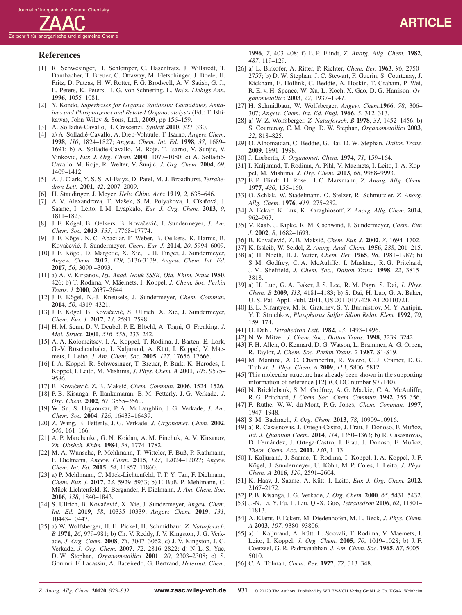## **References**

- [1] R. Schwesinger, H. Schlemper, C. Hasenfratz, J. Willaredt, T. Dambacher, T. Breuer, C. Ottaway, M. Fletschinger, J. Boele, H. Fritz, D. Putzas, H. W. Rotter, F. G. Brodwell, A. V. Satish, G. Ji, E. Peters, K. Peters, H. G. von Schnering, L. Walz, *Liebigs Ann.* **1996**, 1055–1081.
- [2] Y. Kondo, *Superbases for Organic Synthesis: Guanidines, Amidines and Phosphazenes and Related Organocatalysts* (Ed.: T. Ishikawa), John Wiley & Sons, Ltd., **2009**, pp 156–159.
- [3] A. Solladié-Cavallo, B. Crescenzi, *Synlett* **2000**, 327–330.
- [4] a) A. Solladié-Cavallo, A. Diep-Vohuule, T. Isarno, *Angew. Chem.* **1998**, *110*, 1824–1827; *Angew. Chem. Int. Ed.* **1998**, *37*, 1689– 1691; b) A. Solladié-Cavallo, M. Roje, T. Isarno, V. Sunjic, V. Vinkovic, *Eur. J. Org. Chem.* **2000**, 1077–1080; c) A. Solladié-Cavallo, M. Roje, R. Welter, V. Šunjić, *J. Org. Chem.* 2004, 69, 1409–1412.
- [5] A. J. Clark, Y. S. S. Al-Faiyz, D. Patel, M. J. Broadhurst, *Tetrahedron Lett.* **2001**, *42*, 2007–2009.
- [6] H. Staudinger, J. Meyer, *Helv. Chim. Acta* **1919**, *2*, 635–646.
- [7] A. V. Alexandrova, T. Mašek, S. M. Polyakova, I. Císařová, J. Saame, I. Leito, I. M. Lyapkalo, *Eur. J. Org. Chem.* **2013**, *9*, 1811–1823.
- [8] J. F. Kögel, B. Oelkers, B. Kovačević, J. Sundermeyer, *J. Am. Chem. Soc.* **2013**, *135*, 17768–17774.
- [9] J. F. Kögel, N. C. Abacılar, F. Weber, B. Oelkers, K. Harms, B. Kovačević, J. Sundermeyer, *Chem. Eur. J.* 2014, 20, 5994-6009.
- [10] J. F. Kögel, D. Margetic, X. Xie, L. H. Finger, J. Sundermeyer, *Angew. Chem.* **2017**, *129*, 3136-3139; *Angew. Chem. Int. Ed.* **2017**, *56*, 3090 –3093.
- [11] a) A. V. Kirsanov, *Izv. Akad. Nauk SSSR, Otd. Khim. Nauk* **1950**, 426; b) T. Rodima, V. Mäemets, I. Koppel, *J. Chem. Soc. Perkin Trans. 1* **2000**, 2637–2644.
- [12] J. F. Kögel, N.-J. Kneusels, J. Sundermeyer, *Chem. Commun.* **2014**, *50*, 4319–4321.
- [13] J. F. Kögel, B. Kovačević, S. Ullrich, X. Xie, J. Sundermeyer, *Chem. Eur. J.* **2017**, *23*, 2591–2598.
- [14] H. M. Senn, D. V. Deubel, P. E. Blöchl, A. Togni, G. Frenking, *J. Mol. Struct.* **2000**, *516–558*, 233–242.
- [15] A. A. Kolomeitsev, I. A. Koppel, T. Rodima, J. Barten, E. Lork, G.-V. Röschenthaler, I. Kaljurand, A. Kütt, I. Koppel, V. Mäemets, I. Leito, *J. Am. Chem. Soc.* **2005**, *127*, 17656–17666.
- [16] I. A. Koppel, R. Schwesinger, T. Breuer, P. Burk, K. Herodes, I. Koppel, I. Leito, M. Mishima, *J. Phys. Chem. A* **2001**, *105*, 9575– 9586.
- [17] B. Kovačević, Z. B. Maksić, *Chem. Commun.* **2006**, 1524-1526.
- [18] P. B. Kisanga, P. Ilankumaran, B. M. Fetterly, J. G. Verkade, *J. Org. Chem.* **2002**, *67*, 3555–3560.
- [19] W. Su, S. Urgaonkar, P. A. McLaughlin, J. G. Verkade, *J. Am. Chem. Soc.* **2004**, *126*, 16433–16439.
- [20] Z. Wang, B. Fetterly, J. G. Verkade, *J. Organomet. Chem.* **2002**, *646*, 161–166.
- [21] A. P. Marchenko, G. N. Koidan, A. M. Pinchuk, A. V. Kirsanov, *Zh. Obshch. Khim.* **1984**, *54*, 1774–1782.
- [22] M. A. Wünsche, P. Mehlmann, T. Witteler, F. Buß, P. Rathmann, F. Dielmann, *Angew. Chem.* **2015**, *127*, 12024–12027; *Angew. Chem. Int. Ed.* **2015**, *54*, 11857–11860.
- [23] a) P. Mehlmann, C. Mück-Lichtenfeld, T. T. Y. Tan, F. Dielmann, *Chem. Eur. J.* **2017**, *23*, 5929–5933; b) F. Buß, P. Mehlmann, C. Mück-Lichtenfeld, K. Bergander, F. Dielmann, *J. Am. Chem. Soc.* **2016**, *138*, 1840–1843.
- [24] S. Ullrich, B. Kovačević, X. Xie, J. Sundermeyer, *Angew. Chem. Int. Ed.* **2019**, *58*, 10335–10339; *Angew. Chem.* **2019**, *131*, 10443–10447.
- [25] a) W. Wolfsberger, H. H. Pickel, H. Schmidbaur, *Z. Naturforsch. B* **1971**, *26*, 979–981; b) Ch. V. Reddy, J. V. Kingston, J. G. Verkade, *J. Org. Chem.* **2008**, *73*, 3047–3062; c) J. V. Kingston, J. G. Verkade, *J. Org. Chem.* **2007**, *72*, 2816–2822; d) N. L. S. Yue, D. W. Stephan, *Organometallics* **2001**, *20*, 2303–2308; e) S. Goumri, F. Lacassin, A. Baceiredo, G. Bertrand, *Heteroat. Chem.*

**1996**, *7*, 403–408; f) E. P. Flindt, *Z. Anorg. Allg. Chem.* **1982**, *487*, 119–129.

- [26] a) L. Birkofer, A. Ritter, P. Richter, *Chem. Ber.* **1963**, *96*, 2750– 2757; b) D. W. Stephan, J. C. Stewart, F. Guerin, S. Courtenay, J. Kickham, E. Hollink, C. Beddie, A. Hoskin, T. Graham, P. Wei, R. E. v. H. Spence, W. Xu, L. Koch, X. Gao, D. G. Harrison, *Organometallics* **2003**, *22*, 1937–1947.
- [27] H. Schmidbaur, W. Wolfsberger, *Angew. Chem.***1966**, *78*, 306– 307; *Angew. Chem. Int. Ed. Engl.* **1966**, *5*, 312–313.
- [28] a) W. Z. Wolfsberger, *Z. Naturforsch. B* **1978**, *33*, 1452–1456; b) S. Courtenay, C. M. Ong, D. W. Stephan, *Organometallics* **2003**, *22*, 818–825.
- [29] O. Alhomaidan, C. Beddie, G. Bai, D. W. Stephan, *Dalton Trans.* **2009**, 1991–1998.
- [30] J. Lorberth, *J. Organomet. Chem.* **1974**, *71*, 159–164.
- [31] I. Kaljurand, T. Rodima, A. Pihl, V. Mäemets, I. Leito, I. A. Koppel, M. Mishima, *J. Org. Chem.* **2003**, *68*, 9988–9993.
- [32] E. P. Flindt, H. Rose, H. C. Marsmann, *Z. Anorg. Allg. Chem.* **1977**, *430*, 155–160.
- [33] O. Schlak, W. Stadelmann, O. Stelzer, R. Schmutzler, *Z. Anorg. Allg. Chem.* **1976**, *419*, 275–282.
- [34] A. Eckart, K. Lux, K. Karaghiosoff, *Z. Anorg. Allg. Chem.* **2014**, 962–967.
- [35] V. Raab, J. Kipke, R. M. Gschwind, J. Sundermeyer, *Chem. Eur. J.* **2002**, *8*, 1682–1693.
- [36] B. Kovačević, Z. B. Maksić, *Chem. Eur. J.* 2002, 8, 1694–1702.
- [37] K. Issleib, W. Seidel, *Z. Anorg. Anal. Chem.* **1956**, *288*, 201–215.
- [38] a) H. Noeth, H. J. Vetter, *Chem. Ber.* **1965**, *98*, 1981–1987; b) S. M. Godfrey, C. A. McAuliffe, I. Mushtaq, R. G. Pritchard, J. M. Sheffield, *J. Chem. Soc., Dalton Trans.* **1998**, *22*, 3815– 3818.
- [39] a) H. Luo, G. A. Baker, J. S. Lee, R. M. Pagn, S. Dai, *J. Phys. Chem. B* **2009**, *113*, 4181–4183; b) S. Dai, H. Luo, G. A. Baker, U. S. Pat. Appl. Publ. **2011**, US 20110177428 A1 20110721.
- [40] E. E. Nifantyev, M. K. Gratchev, S. Y. Burmistrov, M. Y. Antipin, Y. T. Struchkov, *Phosphorus Sulfur Silion Relat. Elem.* **1992**, *70*, 159–174.
- [41] O. Dahl, *Tetrahedron Lett.* **1982**, *23*, 1493–1496.
- [42] N. W. Mitzel, *J. Chem. Soc., Dalton Trans.* **1998**, 3239–3242.
- [43] F. H. Allen, O. Kennard, D. G. Watson, L. Brammer, A. G. Orpen, R. Taylor, *J. Chem. Soc. Perkin Trans. 2* **1987**, S1-S19.
- [44] M. Mantina, A. C. Chamberlin, R. Valero, C. J. Cramer, D. G. Truhlar, *J. Phys. Chem. A* **2009**, *113*, 5806–5812.
- [45] This molecular structure has already been shown in the supporting information of reference [12] (CCDC number 977140).
- [46] N. Bricklebank, S. M. Godfrey, A. G. Mackie, C. A. McAuliffe, R. G. Pritchard, *J. Chem. Soc., Chem. Commun.* **1992**, 355–356.
- [47] F. Ruthe, W. W. du Mont, P. G. Jones, *Chem. Commun.* **1997**, 1947–1948.
- [48] S. M. Bachrach, *J. Org. Chem.* **2013**, *78*, 10909–10916.
- [49] a) R. Casasnovas, J. Ortega-Castro, J. Frau, J. Donoso, F. Muñoz, *Int. J. Quantum Chem.* **2014**, *114*, 1350–1363; b) R. Casasnovas, D. Fernández, J. Ortega-Castro, J. Frau, J. Donoso, F. Muñoz, *Theor. Chem. Acc.* **2011**, *130*, 1–13.
- [50] I. Kaljurand, J. Saame, T. Rodima, I. Koppel, I. A. Koppel, J. F. Kögel, J. Sundermeyer, U. Köhn, M. P. Coles, I. Leito, *J. Phys. Chem. A* **2016**, *120*, 2591–2604.
- [51] K. Haav, J. Saame, A. Kütt, I. Leito, *Eur. J. Org. Chem.* **2012**, 2167–2172.
- [52] P. B. Kisanga, J. G. Verkade, *J. Org. Chem.* **2000**, *65*, 5431–5432.
- [53] J.-N. Li, Y. Fu, L. Liu, Q.-X. Guo, *Tetrahedron* **2006**, *62*, 11801– 11813.
- [54] A. Klamt, F. Eckert, M. Diedenhofen, M. E. Beck, *J. Phys. Chem. A* **2003**, *107*, 9380–93806.
- [55] a) I. Kaljurand, A. Kütt, L. Soovali, T. Rodima, V. Maemets, I. Leito, I. Koppel, *J. Org. Chem.* **2005**, *70*, 1019–1028; b) J. F. Coetzeel, G. R. Padmanabhan, *J. Am. Chem. Soc.* **1965**, *87*, 5005– 5010.
- [56] C. A. Tolman, *Chem. Rev.* **1977**, *77*, 313–348.